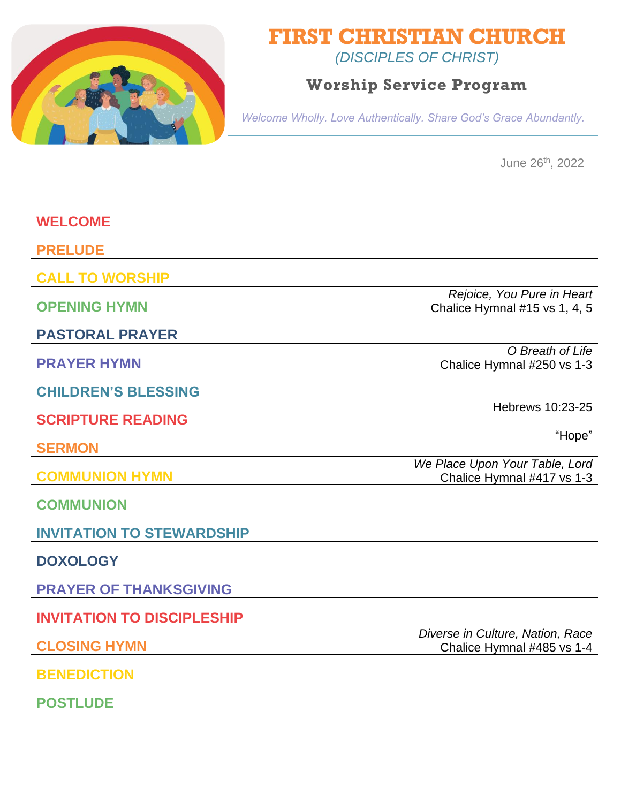

## **FIRST CHRISTIAN CHURCH**

*(DISCIPLES OF CHRIST)*

## **Worship Service Program**

*Welcome Wholly. Love Authentically. Share God's Grace Abundantly.*

June 26th, 2022

| <b>WELCOME</b>                    |                                                                |
|-----------------------------------|----------------------------------------------------------------|
| <b>PRELUDE</b>                    |                                                                |
| <b>CALL TO WORSHIP</b>            |                                                                |
| <b>OPENING HYMN</b>               | Rejoice, You Pure in Heart<br>Chalice Hymnal #15 vs 1, 4, 5    |
| <b>PASTORAL PRAYER</b>            |                                                                |
| <b>PRAYER HYMN</b>                | O Breath of Life<br>Chalice Hymnal #250 vs 1-3                 |
| <b>CHILDREN'S BLESSING</b>        |                                                                |
| <b>SCRIPTURE READING</b>          | Hebrews 10:23-25                                               |
| <b>SERMON</b>                     | "Hope"                                                         |
| <b>COMMUNION HYMN</b>             | We Place Upon Your Table, Lord<br>Chalice Hymnal #417 vs 1-3   |
| <b>COMMUNION</b>                  |                                                                |
| <b>INVITATION TO STEWARDSHIP</b>  |                                                                |
|                                   |                                                                |
| <b>DOXOLOGY</b>                   |                                                                |
| <b>PRAYER OF THANKSGIVING</b>     |                                                                |
| <b>INVITATION TO DISCIPLESHIP</b> |                                                                |
| <b>CLOSING HYMN</b>               | Diverse in Culture, Nation, Race<br>Chalice Hymnal #485 vs 1-4 |
| <b>BENEDICTION</b>                |                                                                |